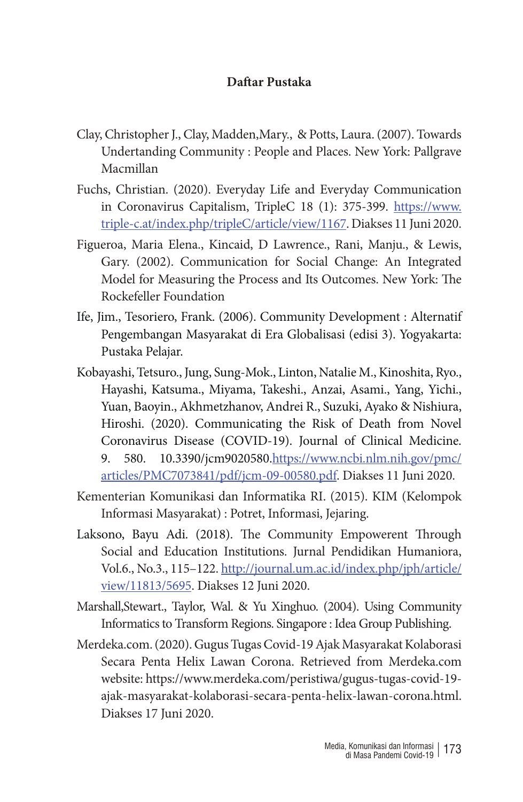## **Daftar Pustaka**

- Clay, Christopher J., Clay, Madden,Mary., & Potts, Laura. (2007). Towards Undertanding Community : People and Places. New York: Pallgrave Macmillan
- Fuchs, Christian. (2020). Everyday Life and Everyday Communication in Coronavirus Capitalism, TripleC 18 (1): 375-399. https://www. triple-c.at/index.php/tripleC/article/view/1167. Diakses 11 Juni 2020.
- Figueroa, Maria Elena., Kincaid, D Lawrence., Rani, Manju., & Lewis, Gary. (2002). Communication for Social Change: An Integrated Model for Measuring the Process and Its Outcomes. New York: The Rockefeller Foundation
- Ife, Jim., Tesoriero, Frank. (2006). Community Development : Alternatif Pengembangan Masyarakat di Era Globalisasi (edisi 3). Yogyakarta: Pustaka Pelajar.
- Kobayashi, Tetsuro., Jung, Sung-Mok., Linton, Natalie M., Kinoshita, Ryo., Hayashi, Katsuma., Miyama, Takeshi., Anzai, Asami., Yang, Yichi., Yuan, Baoyin., Akhmetzhanov, Andrei R., Suzuki, Ayako & Nishiura, Hiroshi. (2020). Communicating the Risk of Death from Novel Coronavirus Disease (COVID-19). Journal of Clinical Medicine. 9. 580. 10.3390/jcm9020580.https://www.ncbi.nlm.nih.gov/pmc/ articles/PMC7073841/pdf/jcm-09-00580.pdf. Diakses 11 Juni 2020.
- Kementerian Komunikasi dan Informatika RI. (2015). KIM (Kelompok Informasi Masyarakat) : Potret, Informasi, Jejaring.
- Laksono, Bayu Adi. (2018). The Community Empowerent Through Social and Education Institutions. Jurnal Pendidikan Humaniora, Vol.6., No.3., 115–122. http://journal.um.ac.id/index.php/jph/article/ view/11813/5695. Diakses 12 Juni 2020.
- Marshall,Stewart., Taylor, Wal. & Yu Xinghuo. (2004). Using Community Informatics to Transform Regions. Singapore : Idea Group Publishing.
- Merdeka.com. (2020). Gugus Tugas Covid-19 Ajak Masyarakat Kolaborasi Secara Penta Helix Lawan Corona. Retrieved from Merdeka.com website: https://www.merdeka.com/peristiwa/gugus-tugas-covid-19 ajak-masyarakat-kolaborasi-secara-penta-helix-lawan-corona.html. Diakses 17 Juni 2020.